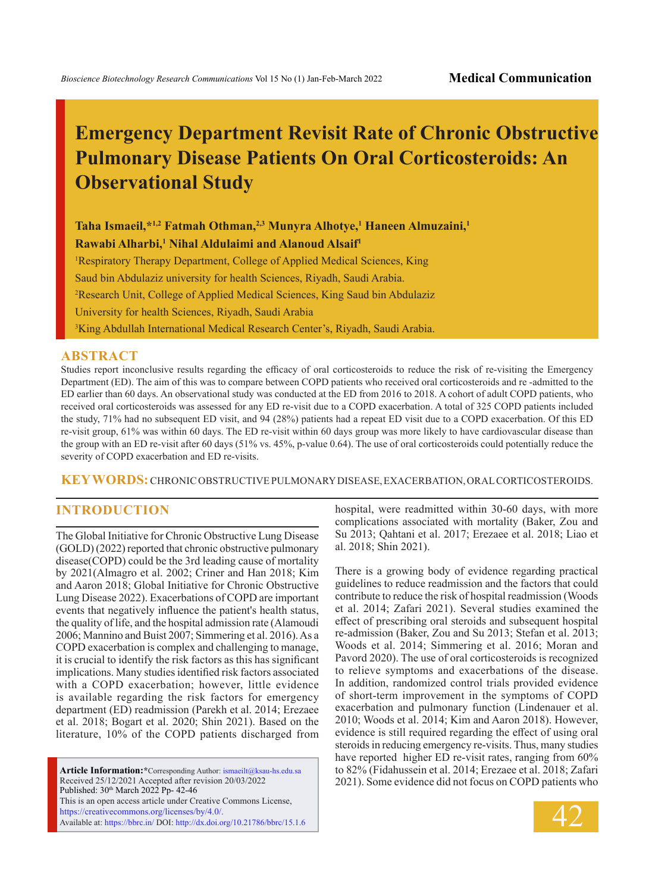# **Emergency Department Revisit Rate of Chronic Obstructive Pulmonary Disease Patients On Oral Corticosteroids: An Observational Study**

**Taha Ismaeil,\*1,2 Fatmah Othman,2,3 Munyra Alhotye,1 Haneen Almuzaini,1 Rawabi Alharbi,1 Nihal Aldulaimi and Alanoud Alsaif1**

<sup>1</sup>Respiratory Therapy Department, College of Applied Medical Sciences, King Saud bin Abdulaziz university for health Sciences, Riyadh, Saudi Arabia. 2 Research Unit, College of Applied Medical Sciences, King Saud bin Abdulaziz University for health Sciences, Riyadh, Saudi Arabia 3 King Abdullah International Medical Research Center's, Riyadh, Saudi Arabia.

#### **ABSTRACT**

Studies report inconclusive results regarding the efficacy of oral corticosteroids to reduce the risk of re-visiting the Emergency Department (ED). The aim of this was to compare between COPD patients who received oral corticosteroids and re -admitted to the ED earlier than 60 days. An observational study was conducted at the ED from 2016 to 2018. A cohort of adult COPD patients, who received oral corticosteroids was assessed for any ED re-visit due to a COPD exacerbation. A total of 325 COPD patients included the study, 71% had no subsequent ED visit, and 94 (28%) patients had a repeat ED visit due to a COPD exacerbation. Of this ED re-visit group, 61% was within 60 days. The ED re-visit within 60 days group was more likely to have cardiovascular disease than the group with an ED re-visit after 60 days (51% vs. 45%, p-value 0.64). The use of oral corticosteroids could potentially reduce the severity of COPD exacerbation and ED re-visits.

**KEY WORDS:** Chronic Obstructive Pulmonary Disease, Exacerbation, Oral Corticosteroids.

#### **INTRODUCTION**

The Global Initiative for Chronic Obstructive Lung Disease (GOLD) (2022) reported that chronic obstructive pulmonary disease(COPD) could be the 3rd leading cause of mortality by 2021(Almagro et al. 2002; Criner and Han 2018; Kim and Aaron 2018; Global Initiative for Chronic Obstructive Lung Disease 2022). Exacerbations of COPD are important events that negatively influence the patient's health status, the quality of life, and the hospital admission rate (Alamoudi 2006; Mannino and Buist 2007; Simmering et al. 2016). As a COPD exacerbation is complex and challenging to manage, it is crucial to identify the risk factors as this has significant implications. Many studies identified risk factors associated with a COPD exacerbation; however, little evidence is available regarding the risk factors for emergency department (ED) readmission (Parekh et al. 2014; Erezaee et al. 2018; Bogart et al. 2020; Shin 2021). Based on the literature, 10% of the COPD patients discharged from

**Article Information:\***Corresponding Author: ismaeilt@ksau-hs.edu.sa Received 25/12/2021 Accepted after revision 20/03/2022 Published: 30<sup>th</sup> March 2022 Pp- 42-46 This is an open access article under Creative Commons License, https://creativecommons.org/licenses/by/4.0/. Available at: https://bbrc.in/ DOI: http://dx.doi.org/10.21786/bbrc/15.1.6 hospital, were readmitted within 30-60 days, with more complications associated with mortality (Baker, Zou and Su 2013; Qahtani et al. 2017; Erezaee et al. 2018; Liao et al. 2018; Shin 2021).

There is a growing body of evidence regarding practical guidelines to reduce readmission and the factors that could contribute to reduce the risk of hospital readmission (Woods et al. 2014; Zafari 2021). Several studies examined the effect of prescribing oral steroids and subsequent hospital re-admission (Baker, Zou and Su 2013; Stefan et al. 2013; Woods et al. 2014; Simmering et al. 2016; Moran and Pavord 2020). The use of oral corticosteroids is recognized to relieve symptoms and exacerbations of the disease. In addition, randomized control trials provided evidence of short-term improvement in the symptoms of COPD exacerbation and pulmonary function (Lindenauer et al. 2010; Woods et al. 2014; Kim and Aaron 2018). However, evidence is still required regarding the effect of using oral steroids in reducing emergency re-visits. Thus, many studies have reported higher ED re-visit rates, ranging from 60% to 82% (Fidahussein et al. 2014; Erezaee et al. 2018; Zafari 2021). Some evidence did not focus on COPD patients who

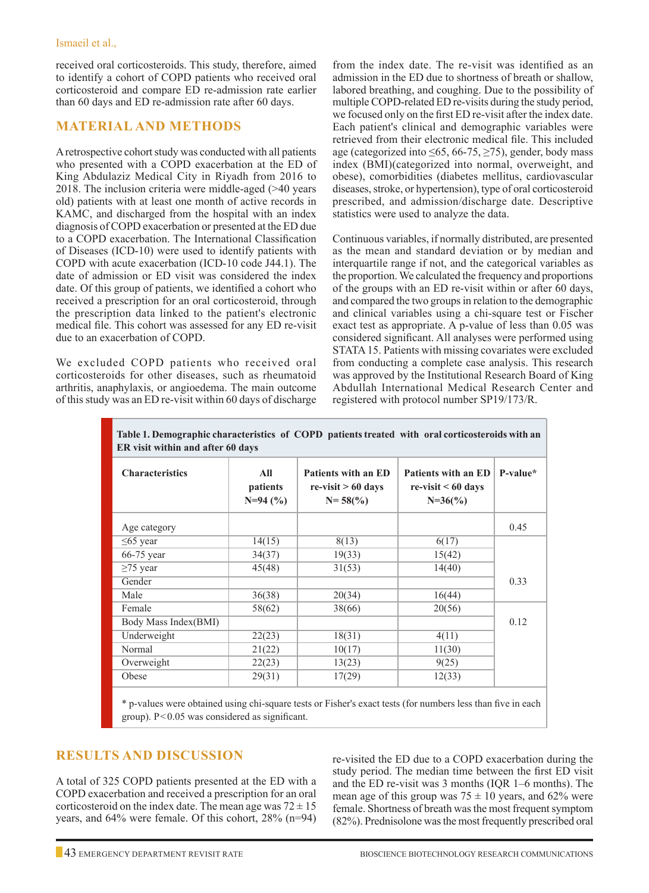received oral corticosteroids. This study, therefore, aimed to identify a cohort of COPD patients who received oral corticosteroid and compare ED re-admission rate earlier than 60 days and ED re-admission rate after 60 days.

#### **Material and Methods**

A retrospective cohort study was conducted with all patients who presented with a COPD exacerbation at the ED of King Abdulaziz Medical City in Riyadh from 2016 to 2018. The inclusion criteria were middle-aged (>40 years old) patients with at least one month of active records in KAMC, and discharged from the hospital with an index diagnosis of COPD exacerbation or presented at the ED due to a COPD exacerbation. The International Classification of Diseases (ICD-10) were used to identify patients with COPD with acute exacerbation (ICD-10 code J44.1). The date of admission or ED visit was considered the index date. Of this group of patients, we identified a cohort who received a prescription for an oral corticosteroid, through the prescription data linked to the patient's electronic medical file. This cohort was assessed for any ED re-visit due to an exacerbation of COPD.

We excluded COPD patients who received oral corticosteroids for other diseases, such as rheumatoid arthritis, anaphylaxis, or angioedema. The main outcome of this study was an ED re-visit within 60 days of discharge

from the index date. The re-visit was identified as an admission in the ED due to shortness of breath or shallow, labored breathing, and coughing. Due to the possibility of multiple COPD-related ED re-visits during the study period, we focused only on the first ED re-visit after the index date. Each patient's clinical and demographic variables were retrieved from their electronic medical file. This included age (categorized into  $\leq 65$ , 66-75,  $\geq 75$ ), gender, body mass index (BMI)(categorized into normal, overweight, and obese), comorbidities (diabetes mellitus, cardiovascular diseases, stroke, or hypertension), type of oral corticosteroid prescribed, and admission/discharge date. Descriptive statistics were used to analyze the data.

Continuous variables, if normally distributed, are presented as the mean and standard deviation or by median and interquartile range if not, and the categorical variables as the proportion. We calculated the frequency and proportions of the groups with an ED re-visit within or after 60 days, and compared the two groups in relation to the demographic and clinical variables using a chi-square test or Fischer exact test as appropriate. A p-value of less than 0.05 was considered significant. All analyses were performed using STATA 15. Patients with missing covariates were excluded from conducting a complete case analysis. This research was approved by the Institutional Research Board of King Abdullah International Medical Research Center and registered with protocol number SP19/173/R.

| Tabit 1. Demographie enaracteristics "or" COT D" patients treated "with" oral corticosteroius with an<br>ER visit within and after 60 days |                              |                                                                   |                                                                 |          |  |  |
|--------------------------------------------------------------------------------------------------------------------------------------------|------------------------------|-------------------------------------------------------------------|-----------------------------------------------------------------|----------|--|--|
| <b>Characteristics</b>                                                                                                                     | All<br>patients<br>$N=94(%)$ | <b>Patients with an ED</b><br>$re-visit > 60$ days<br>$N = 58(%)$ | <b>Patients with an ED</b><br>$re-visit < 60$ days<br>$N=36(%)$ | P-value* |  |  |
| Age category                                                                                                                               |                              |                                                                   |                                                                 | 0.45     |  |  |
| $\leq$ 65 year                                                                                                                             | 14(15)                       | 8(13)                                                             | 6(17)                                                           |          |  |  |
| $66-75$ year                                                                                                                               | 34(37)                       | 19(33)                                                            | 15(42)                                                          |          |  |  |
| $\geq$ 75 year                                                                                                                             | 45(48)                       | 31(53)                                                            | 14(40)                                                          |          |  |  |
| Gender                                                                                                                                     |                              |                                                                   |                                                                 | 0.33     |  |  |
| Male                                                                                                                                       | 36(38)                       | 20(34)                                                            | 16(44)                                                          |          |  |  |
| Female                                                                                                                                     | 58(62)                       | 38(66)                                                            | 20(56)                                                          |          |  |  |
| Body Mass Index(BMI)                                                                                                                       |                              |                                                                   |                                                                 | 0.12     |  |  |
| Underweight                                                                                                                                | 22(23)                       | 18(31)                                                            | 4(11)                                                           |          |  |  |
| Normal                                                                                                                                     | 21(22)                       | 10(17)                                                            | 11(30)                                                          |          |  |  |
| Overweight                                                                                                                                 | 22(23)                       | 13(23)                                                            | 9(25)                                                           |          |  |  |
| Obese                                                                                                                                      | 29(31)                       | 17(29)                                                            | 12(33)                                                          |          |  |  |

**Table 1. Demographic characteristics of COPD patients treated with oral corticosteroids with an** 

\* p-values were obtained using chi-square tests or Fisher's exact tests (for numbers less than five in each group). P<0.05 was considered as significant.

## **Results and Discussion**

A total of 325 COPD patients presented at the ED with a COPD exacerbation and received a prescription for an oral corticosteroid on the index date. The mean age was  $72 \pm 15$ years, and 64% were female. Of this cohort, 28% (n=94) re-visited the ED due to a COPD exacerbation during the study period. The median time between the first ED visit and the ED re-visit was 3 months (IQR 1–6 months). The mean age of this group was  $75 \pm 10$  years, and 62% were female. Shortness of breath was the most frequent symptom (82%). Prednisolone was the most frequently prescribed oral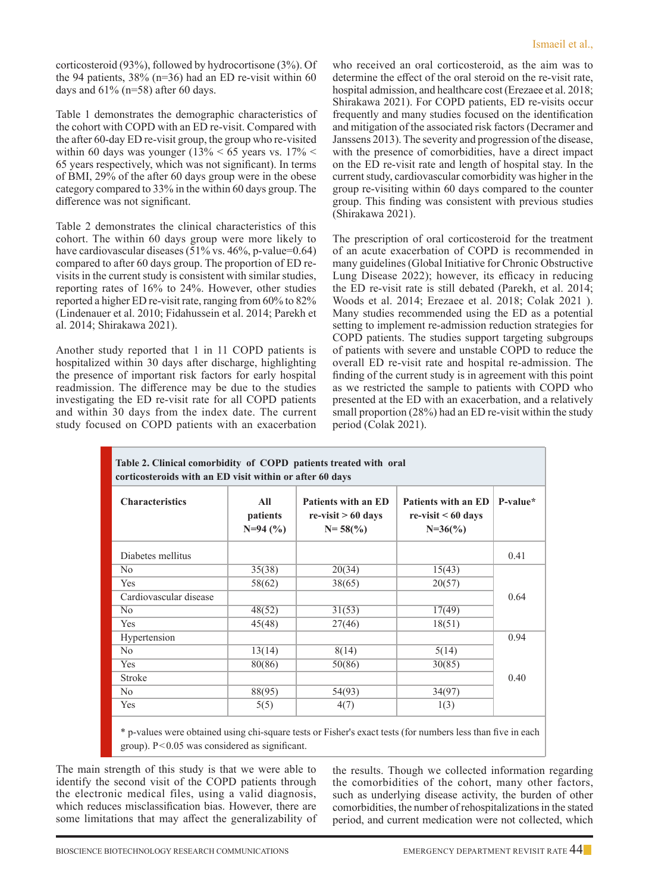corticosteroid (93%), followed by hydrocortisone (3%). Of the 94 patients,  $38\%$  (n=36) had an ED re-visit within 60 days and  $61\%$  (n=58) after 60 days.

Table 1 demonstrates the demographic characteristics of the cohort with COPD with an ED re-visit. Compared with the after 60-day ED re-visit group, the group who re-visited within 60 days was younger (13%  $<$  65 years vs. 17%  $<$ 65 years respectively, which was not significant). In terms of BMI, 29% of the after 60 days group were in the obese category compared to 33% in the within 60 days group. The difference was not significant.

Table 2 demonstrates the clinical characteristics of this cohort. The within 60 days group were more likely to have cardiovascular diseases (51% vs. 46%, p-value=0.64) compared to after 60 days group. The proportion of ED revisits in the current study is consistent with similar studies, reporting rates of 16% to 24%. However, other studies reported a higher ED re-visit rate, ranging from 60% to 82% (Lindenauer et al. 2010; Fidahussein et al. 2014; Parekh et al. 2014; Shirakawa 2021).

Another study reported that 1 in 11 COPD patients is hospitalized within 30 days after discharge, highlighting the presence of important risk factors for early hospital readmission. The difference may be due to the studies investigating the ED re-visit rate for all COPD patients and within 30 days from the index date. The current study focused on COPD patients with an exacerbation who received an oral corticosteroid, as the aim was to determine the effect of the oral steroid on the re-visit rate, hospital admission, and healthcare cost (Erezaee et al. 2018; Shirakawa 2021). For COPD patients, ED re-visits occur frequently and many studies focused on the identification and mitigation of the associated risk factors (Decramer and Janssens 2013). The severity and progression of the disease, with the presence of comorbidities, have a direct impact on the ED re-visit rate and length of hospital stay. In the current study, cardiovascular comorbidity was higher in the group re-visiting within 60 days compared to the counter group. This finding was consistent with previous studies (Shirakawa 2021).

The prescription of oral corticosteroid for the treatment of an acute exacerbation of COPD is recommended in many guidelines (Global Initiative for Chronic Obstructive Lung Disease 2022); however, its efficacy in reducing the ED re-visit rate is still debated (Parekh, et al. 2014; Woods et al. 2014; Erezaee et al. 2018; Colak 2021 ). Many studies recommended using the ED as a potential setting to implement re-admission reduction strategies for COPD patients. The studies support targeting subgroups of patients with severe and unstable COPD to reduce the overall ED re-visit rate and hospital re-admission. The finding of the current study is in agreement with this point as we restricted the sample to patients with COPD who presented at the ED with an exacerbation, and a relatively small proportion (28%) had an ED re-visit within the study period (Colak 2021).

| Table 2. Clinical comorbidity of COPD patients treated with oral<br>corticosteroids with an ED visit within or after 60 days |                              |                                                            |                                                          |            |  |  |
|------------------------------------------------------------------------------------------------------------------------------|------------------------------|------------------------------------------------------------|----------------------------------------------------------|------------|--|--|
| <b>Characteristics</b>                                                                                                       | All<br>patients<br>$N=94(%)$ | Patients with an ED<br>$re-visit > 60$ days<br>$N = 58(%)$ | Patients with an ED<br>$re-visit < 60$ days<br>$N=36(%)$ | $P-value*$ |  |  |
| Diabetes mellitus                                                                                                            |                              |                                                            |                                                          | 0.41       |  |  |
| N <sub>o</sub>                                                                                                               | 35(38)                       | 20(34)                                                     | 15(43)                                                   |            |  |  |
| Yes                                                                                                                          | 58(62)                       | 38(65)                                                     | 20(57)                                                   |            |  |  |
| Cardiovascular disease                                                                                                       |                              |                                                            |                                                          |            |  |  |
| No                                                                                                                           | 48(52)                       | 31(53)                                                     | 17(49)                                                   |            |  |  |
| Yes                                                                                                                          | 45(48)                       | 27(46)                                                     | 18(51)                                                   |            |  |  |
| Hypertension                                                                                                                 |                              |                                                            |                                                          |            |  |  |
| N <sub>o</sub>                                                                                                               | 13(14)                       | 8(14)                                                      | 5(14)                                                    |            |  |  |
| Yes                                                                                                                          | 80(86)                       | 50(86)                                                     | 30(85)                                                   |            |  |  |
| <b>Stroke</b>                                                                                                                |                              |                                                            |                                                          | 0.40       |  |  |
| N <sub>0</sub>                                                                                                               | 88(95)                       | 54(93)                                                     | 34(97)                                                   |            |  |  |
| Yes                                                                                                                          | 5(5)                         | 4(7)                                                       | 1(3)                                                     |            |  |  |

\* p-values were obtained using chi-square tests or Fisher's exact tests (for numbers less than five in each group). P<0.05 was considered as significant.

The main strength of this study is that we were able to identify the second visit of the COPD patients through the electronic medical files, using a valid diagnosis, which reduces misclassification bias. However, there are some limitations that may affect the generalizability of

the results. Though we collected information regarding the comorbidities of the cohort, many other factors, such as underlying disease activity, the burden of other comorbidities, the number of rehospitalizations in the stated period, and current medication were not collected, which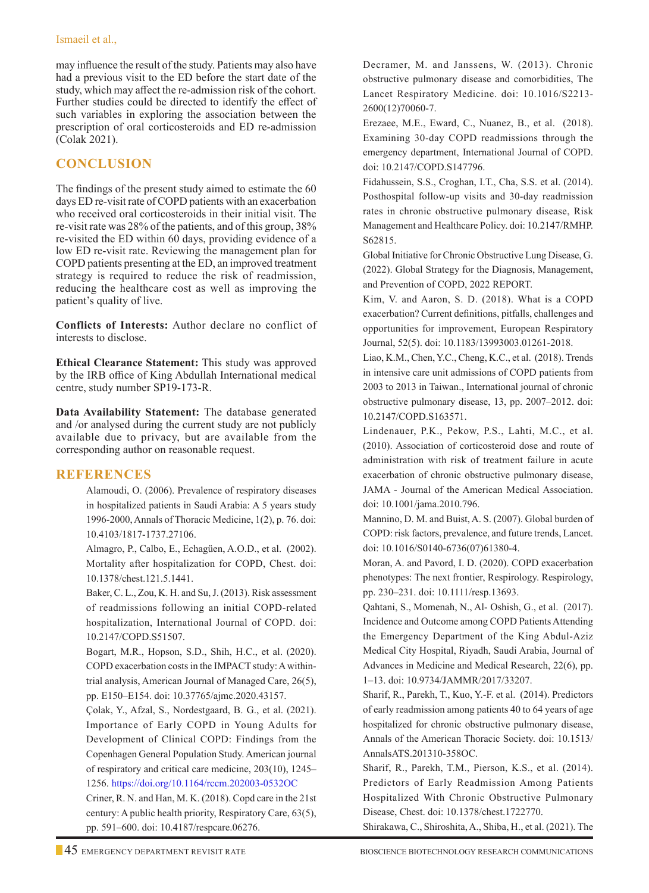may influence the result of the study. Patients may also have had a previous visit to the ED before the start date of the study, which may affect the re-admission risk of the cohort. Further studies could be directed to identify the effect of such variables in exploring the association between the prescription of oral corticosteroids and ED re-admission (Colak 2021).

# **Conclusion**

The findings of the present study aimed to estimate the 60 days ED re-visit rate of COPD patients with an exacerbation who received oral corticosteroids in their initial visit. The re-visit rate was 28% of the patients, and of this group, 38% re-visited the ED within 60 days, providing evidence of a low ED re-visit rate. Reviewing the management plan for COPD patients presenting at the ED, an improved treatment strategy is required to reduce the risk of readmission, reducing the healthcare cost as well as improving the patient's quality of live.

**Conflicts of Interests:** Author declare no conflict of interests to disclose.

**Ethical Clearance Statement:** This study was approved by the IRB office of King Abdullah International medical centre, study number SP19-173-R.

**Data Availability Statement:** The database generated and /or analysed during the current study are not publicly available due to privacy, but are available from the corresponding author on reasonable request.

### **References**

Alamoudi, O. (2006). Prevalence of respiratory diseases in hospitalized patients in Saudi Arabia: A 5 years study 1996-2000, Annals of Thoracic Medicine, 1(2), p. 76. doi: 10.4103/1817-1737.27106.

Almagro, P., Calbo, E., Echagüen, A.O.D., et al. (2002). Mortality after hospitalization for COPD, Chest. doi: 10.1378/chest.121.5.1441.

 Baker, C. L., Zou, K. H. and Su, J. (2013). Risk assessment of readmissions following an initial COPD-related hospitalization, International Journal of COPD. doi: 10.2147/COPD.S51507.

 Bogart, M.R., Hopson, S.D., Shih, H.C., et al. (2020). COPD exacerbation costs in the IMPACT study: A withintrial analysis, American Journal of Managed Care, 26(5), pp. E150–E154. doi: 10.37765/ajmc.2020.43157.

Çolak, Y., Afzal, S., Nordestgaard, B. G., et al. (2021). Importance of Early COPD in Young Adults for Development of Clinical COPD: Findings from the Copenhagen General Population Study. American journal of respiratory and critical care medicine, 203(10), 1245– 1256. https://doi.org/10.1164/rccm.202003-0532OC

Criner, R. N. and Han, M. K. (2018). Copd care in the 21st century: A public health priority, Respiratory Care, 63(5), pp. 591–600. doi: 10.4187/respcare.06276.

Decramer, M. and Janssens, W. (2013). Chronic obstructive pulmonary disease and comorbidities, The Lancet Respiratory Medicine. doi: 10.1016/S2213- 2600(12)70060-7.

Erezaee, M.E., Eward, C., Nuanez, B., et al. (2018). Examining 30-day COPD readmissions through the emergency department, International Journal of COPD. doi: 10.2147/COPD.S147796.

Fidahussein, S.S., Croghan, I.T., Cha, S.S. et al. (2014). Posthospital follow-up visits and 30-day readmission rates in chronic obstructive pulmonary disease, Risk Management and Healthcare Policy. doi: 10.2147/RMHP. S62815.

Global Initiative for Chronic Obstructive Lung Disease, G. (2022). Global Strategy for the Diagnosis, Management, and Prevention of COPD, 2022 REPORT.

Kim, V. and Aaron, S. D. (2018). What is a COPD exacerbation? Current definitions, pitfalls, challenges and opportunities for improvement, European Respiratory Journal, 52(5). doi: 10.1183/13993003.01261-2018.

 Liao, K.M., Chen, Y.C., Cheng, K.C., et al. (2018). Trends in intensive care unit admissions of COPD patients from 2003 to 2013 in Taiwan., International journal of chronic obstructive pulmonary disease, 13, pp. 2007–2012. doi: 10.2147/COPD.S163571.

 Lindenauer, P.K., Pekow, P.S., Lahti, M.C., et al. (2010). Association of corticosteroid dose and route of administration with risk of treatment failure in acute exacerbation of chronic obstructive pulmonary disease, JAMA - Journal of the American Medical Association. doi: 10.1001/jama.2010.796.

 Mannino, D. M. and Buist, A. S. (2007). Global burden of COPD: risk factors, prevalence, and future trends, Lancet. doi: 10.1016/S0140-6736(07)61380-4.

 Moran, A. and Pavord, I. D. (2020). COPD exacerbation phenotypes: The next frontier, Respirology. Respirology, pp. 230–231. doi: 10.1111/resp.13693.

Qahtani, S., Momenah, N., Al- Oshish, G., et al. (2017). Incidence and Outcome among COPD Patients Attending the Emergency Department of the King Abdul-Aziz Medical City Hospital, Riyadh, Saudi Arabia, Journal of Advances in Medicine and Medical Research, 22(6), pp. 1–13. doi: 10.9734/JAMMR/2017/33207.

Sharif, R., Parekh, T., Kuo, Y.-F. et al. (2014). Predictors of early readmission among patients 40 to 64 years of age hospitalized for chronic obstructive pulmonary disease, Annals of the American Thoracic Society. doi: 10.1513/ AnnalsATS.201310-358OC.

Sharif, R., Parekh, T.M., Pierson, K.S., et al. (2014). Predictors of Early Readmission Among Patients Hospitalized With Chronic Obstructive Pulmonary Disease, Chest. doi: 10.1378/chest.1722770.

Shirakawa, C., Shiroshita, A., Shiba, H., et al. (2021). The